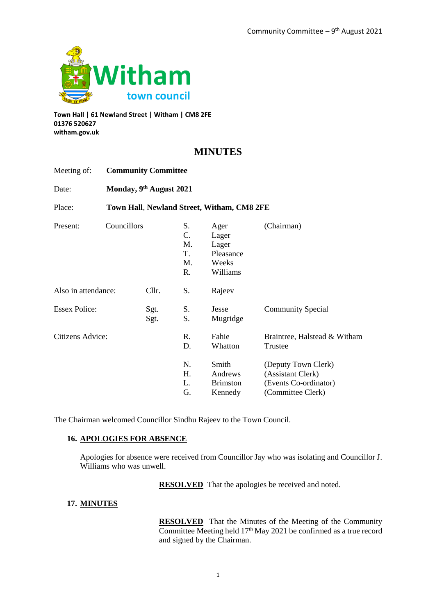

**Town Hall | 61 Newland Street | Witham | CM8 2FE 01376 520627 witham.gov.uk**

# **MINUTES**

| Meeting of:                          | <b>Community Committee</b><br>Monday, 9th August 2021 |  |                                  |                                                          |                                                                                        |
|--------------------------------------|-------------------------------------------------------|--|----------------------------------|----------------------------------------------------------|----------------------------------------------------------------------------------------|
| Date:                                |                                                       |  |                                  |                                                          |                                                                                        |
| Place:                               |                                                       |  |                                  | Town Hall, Newland Street, Witham, CM8 2FE               |                                                                                        |
| Present:                             | Councillors                                           |  | S.<br>C.<br>M.<br>T.<br>M.<br>R. | Ager<br>Lager<br>Lager<br>Pleasance<br>Weeks<br>Williams | (Chairman)                                                                             |
| Also in attendance:<br>Cllr.         |                                                       |  | S.                               | Rajeev                                                   |                                                                                        |
| <b>Essex Police:</b><br>Sgt.<br>Sgt. |                                                       |  | S.<br>S.                         | Jesse<br>Mugridge                                        | <b>Community Special</b>                                                               |
| Citizens Advice:                     |                                                       |  | R.<br>D.                         | Fahie<br>Whatton                                         | Braintree, Halstead & Witham<br>Trustee                                                |
|                                      |                                                       |  | N.<br>Η.<br>L.<br>G.             | Smith<br>Andrews<br><b>Brimston</b><br>Kennedy           | (Deputy Town Clerk)<br>(Assistant Clerk)<br>(Events Co-ordinator)<br>(Committee Clerk) |

The Chairman welcomed Councillor Sindhu Rajeev to the Town Council.

## **16. APOLOGIES FOR ABSENCE**

Apologies for absence were received from Councillor Jay who was isolating and Councillor J. Williams who was unwell.

**RESOLVED** That the apologies be received and noted.

# **17. MINUTES**

**RESOLVED** That the Minutes of the Meeting of the Community Committee Meeting held 17<sup>th</sup> May 2021 be confirmed as a true record and signed by the Chairman.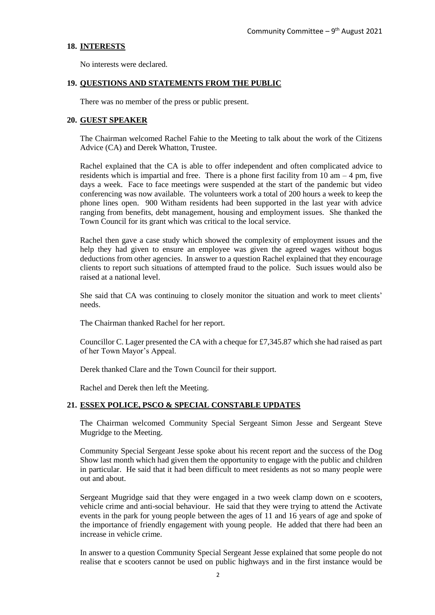#### **18. INTERESTS**

No interests were declared.

#### **19. QUESTIONS AND STATEMENTS FROM THE PUBLIC**

There was no member of the press or public present.

#### **20. GUEST SPEAKER**

The Chairman welcomed Rachel Fahie to the Meeting to talk about the work of the Citizens Advice (CA) and Derek Whatton, Trustee.

Rachel explained that the CA is able to offer independent and often complicated advice to residents which is impartial and free. There is a phone first facility from  $10 \text{ am} - 4 \text{ pm}$ , five days a week. Face to face meetings were suspended at the start of the pandemic but video conferencing was now available. The volunteers work a total of 200 hours a week to keep the phone lines open. 900 Witham residents had been supported in the last year with advice ranging from benefits, debt management, housing and employment issues. She thanked the Town Council for its grant which was critical to the local service.

Rachel then gave a case study which showed the complexity of employment issues and the help they had given to ensure an employee was given the agreed wages without bogus deductions from other agencies. In answer to a question Rachel explained that they encourage clients to report such situations of attempted fraud to the police. Such issues would also be raised at a national level.

She said that CA was continuing to closely monitor the situation and work to meet clients' needs.

The Chairman thanked Rachel for her report.

Councillor C. Lager presented the CA with a cheque for £7,345.87 which she had raised as part of her Town Mayor's Appeal.

Derek thanked Clare and the Town Council for their support.

Rachel and Derek then left the Meeting.

## **21. ESSEX POLICE, PSCO & SPECIAL CONSTABLE UPDATES**

The Chairman welcomed Community Special Sergeant Simon Jesse and Sergeant Steve Mugridge to the Meeting.

Community Special Sergeant Jesse spoke about his recent report and the success of the Dog Show last month which had given them the opportunity to engage with the public and children in particular. He said that it had been difficult to meet residents as not so many people were out and about.

Sergeant Mugridge said that they were engaged in a two week clamp down on e scooters, vehicle crime and anti-social behaviour. He said that they were trying to attend the Activate events in the park for young people between the ages of 11 and 16 years of age and spoke of the importance of friendly engagement with young people. He added that there had been an increase in vehicle crime.

In answer to a question Community Special Sergeant Jesse explained that some people do not realise that e scooters cannot be used on public highways and in the first instance would be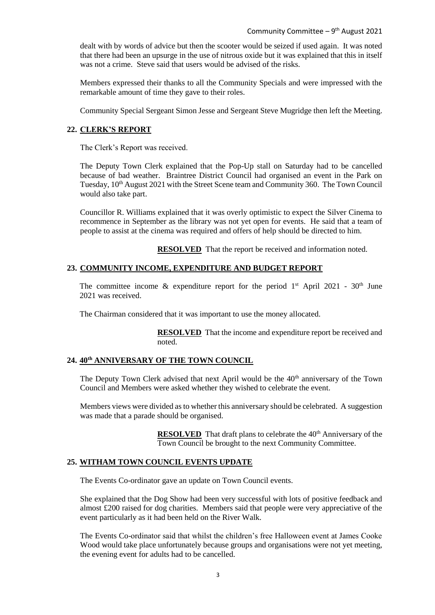dealt with by words of advice but then the scooter would be seized if used again. It was noted that there had been an upsurge in the use of nitrous oxide but it was explained that this in itself was not a crime. Steve said that users would be advised of the risks.

Members expressed their thanks to all the Community Specials and were impressed with the remarkable amount of time they gave to their roles.

Community Special Sergeant Simon Jesse and Sergeant Steve Mugridge then left the Meeting.

#### **22. CLERK'S REPORT**

The Clerk's Report was received.

The Deputy Town Clerk explained that the Pop-Up stall on Saturday had to be cancelled because of bad weather. Braintree District Council had organised an event in the Park on Tuesday,  $10<sup>th</sup>$  August 2021 with the Street Scene team and Community 360. The Town Council would also take part.

Councillor R. Williams explained that it was overly optimistic to expect the Silver Cinema to recommence in September as the library was not yet open for events. He said that a team of people to assist at the cinema was required and offers of help should be directed to him.

**RESOLVED** That the report be received and information noted.

#### **23. COMMUNITY INCOME, EXPENDITURE AND BUDGET REPORT**

The committee income  $\&$  expenditure report for the period  $1^{st}$  April 2021 - 30<sup>th</sup> June 2021 was received.

The Chairman considered that it was important to use the money allocated.

**RESOLVED** That the income and expenditure report be received and noted.

#### **24. 40th ANNIVERSARY OF THE TOWN COUNCIL**

The Deputy Town Clerk advised that next April would be the 40<sup>th</sup> anniversary of the Town Council and Members were asked whether they wished to celebrate the event.

Members views were divided as to whether this anniversary should be celebrated. A suggestion was made that a parade should be organised.

> **RESOLVED** That draft plans to celebrate the 40<sup>th</sup> Anniversary of the Town Council be brought to the next Community Committee.

#### **25. WITHAM TOWN COUNCIL EVENTS UPDATE**

The Events Co-ordinator gave an update on Town Council events.

She explained that the Dog Show had been very successful with lots of positive feedback and almost £200 raised for dog charities. Members said that people were very appreciative of the event particularly as it had been held on the River Walk.

The Events Co-ordinator said that whilst the children's free Halloween event at James Cooke Wood would take place unfortunately because groups and organisations were not yet meeting, the evening event for adults had to be cancelled.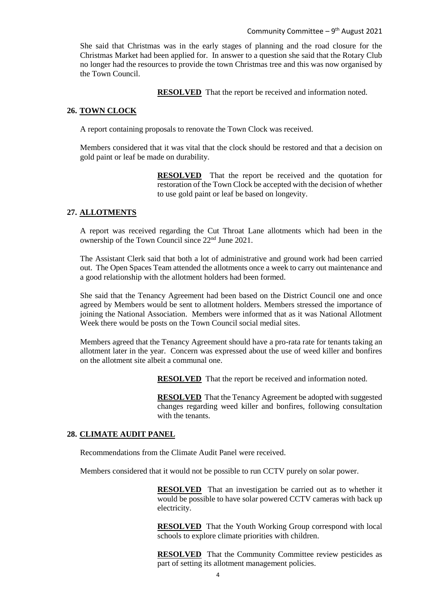She said that Christmas was in the early stages of planning and the road closure for the Christmas Market had been applied for. In answer to a question she said that the Rotary Club no longer had the resources to provide the town Christmas tree and this was now organised by the Town Council.

**RESOLVED** That the report be received and information noted.

#### **26. TOWN CLOCK**

A report containing proposals to renovate the Town Clock was received.

Members considered that it was vital that the clock should be restored and that a decision on gold paint or leaf be made on durability.

> **RESOLVED** That the report be received and the quotation for restoration of the Town Clock be accepted with the decision of whether to use gold paint or leaf be based on longevity.

#### **27. ALLOTMENTS**

A report was received regarding the Cut Throat Lane allotments which had been in the ownership of the Town Council since 22nd June 2021.

The Assistant Clerk said that both a lot of administrative and ground work had been carried out. The Open Spaces Team attended the allotments once a week to carry out maintenance and a good relationship with the allotment holders had been formed.

She said that the Tenancy Agreement had been based on the District Council one and once agreed by Members would be sent to allotment holders. Members stressed the importance of joining the National Association. Members were informed that as it was National Allotment Week there would be posts on the Town Council social medial sites.

Members agreed that the Tenancy Agreement should have a pro-rata rate for tenants taking an allotment later in the year. Concern was expressed about the use of weed killer and bonfires on the allotment site albeit a communal one.

**RESOLVED** That the report be received and information noted.

**RESOLVED** That the Tenancy Agreement be adopted with suggested changes regarding weed killer and bonfires, following consultation with the tenants.

#### **28. CLIMATE AUDIT PANEL**

Recommendations from the Climate Audit Panel were received.

Members considered that it would not be possible to run CCTV purely on solar power.

**RESOLVED** That an investigation be carried out as to whether it would be possible to have solar powered CCTV cameras with back up electricity.

**RESOLVED** That the Youth Working Group correspond with local schools to explore climate priorities with children.

**RESOLVED** That the Community Committee review pesticides as part of setting its allotment management policies.